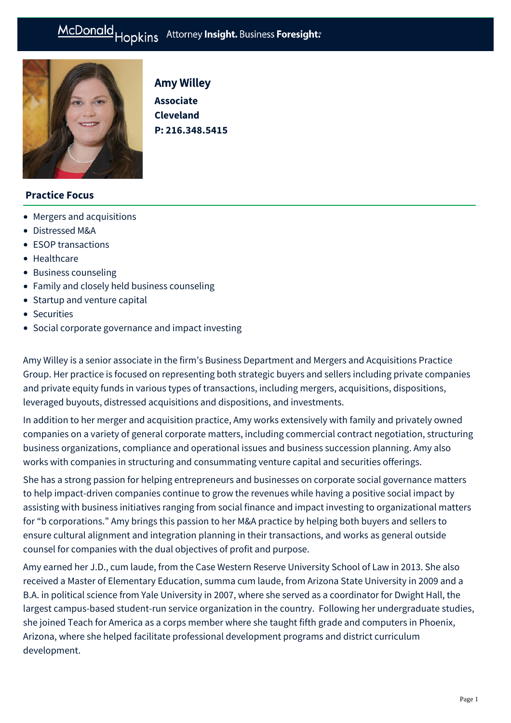

# Amy Willey

**Associate Cleveland P: [216.348.5415](tel:216.348.5415)**

### **Practice Focus**

- [Mergers and acquisitions](https://mcdonaldhopkins.com/Expertise/Mergers-and-acquisitions)
- [Distressed M&A](https://mcdonaldhopkins.com/Expertise/Strategic-advisory-and-restructuring/Distressed-M-A)
- [ESOP transactions](https://mcdonaldhopkins.com/Expertise/Business-counseling/ESOP-transactions)
- [Healthcare](https://mcdonaldhopkins.com/Expertise/Healthcare)
- [Business counseling](https://mcdonaldhopkins.com/Expertise/Business-counseling)
- [Family and closely held business counseling](https://mcdonaldhopkins.com/Expertise/Business-counseling/Family-and-closely-held-business-counseling)
- [Startup and venture capital](https://mcdonaldhopkins.com/Expertise/Business-counseling/Startup-and-venture-capital)
- [Securities](https://mcdonaldhopkins.com/Expertise/Business-counseling/Securities)
- [Social corporate governance and impact investing](https://mcdonaldhopkins.com/Expertise/Business-counseling/Social-Corporate-Governance-and-Impact-Investing)

Amy Willey is a senior associate in the firm's Business Department and Mergers and Acquisitions Practice Group. Her practice is focused on representing both strategic buyers and sellers including private companies and private equity funds in various types of transactions, including mergers, acquisitions, dispositions, leveraged buyouts, distressed acquisitions and dispositions, and investments.

In addition to her merger and acquisition practice, Amy works extensively with family and privately owned companies on a variety of general corporate matters, including commercial contract negotiation, structuring business organizations, compliance and operational issues and business succession planning. Amy also works with companies in structuring and consummating venture capital and securities offerings.

She has a strong passion for helping entrepreneurs and businesses on corporate social governance matters to help impact-driven companies continue to grow the revenues while having a positive social impact by assisting with business initiatives ranging from social finance and impact investing to organizational matters for "b corporations." Amy brings this passion to her M&A practice by helping both buyers and sellers to ensure cultural alignment and integration planning in their transactions, and works as general outside counsel for companies with the dual objectives of profit and purpose.

Amy earned her J.D., cum laude, from the Case Western Reserve University School of Law in 2013. She also received a Master of Elementary Education, summa cum laude, from Arizona State University in 2009 and a B.A. in political science from Yale University in 2007, where she served as a coordinator for Dwight Hall, the largest campus-based student-run service organization in the country. Following her undergraduate studies, she joined Teach for America as a corps member where she taught fifth grade and computers in Phoenix, Arizona, where she helped facilitate professional development programs and district curriculum development.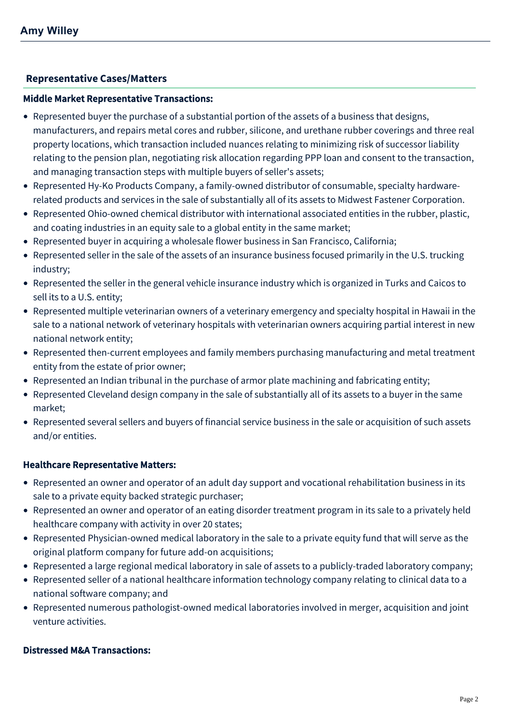# **[Representative Cases/Matters](#page-1-0)**

#### <span id="page-1-0"></span>Middle Market Representative Transactions:

- Represented buyer the purchase of a substantial portion of the assets of a business that designs, manufacturers, and repairs metal cores and rubber, silicone, and urethane rubber coverings and three real property locations, which transaction included nuances relating to minimizing risk of successor liability relating to the pension plan, negotiating risk allocation regarding PPP loan and consent to the transaction, and managing transaction steps with multiple buyers of seller's assets;
- Represented Hy-Ko Products Company, a family-owned distributor of consumable, specialty hardwarerelated products and services in the sale of substantially all of its assets to Midwest Fastener Corporation.
- Represented Ohio-owned chemical distributor with international associated entities in the rubber, plastic, and coating industries in an equity sale to a global entity in the same market;
- Represented buyer in acquiring a wholesale flower business in San Francisco, California;
- Represented seller in the sale of the assets of an insurance business focused primarily in the U.S. trucking industry;
- Represented the seller in the general vehicle insurance industry which is organized in Turks and Caicos to sell its to a U.S. entity;
- Represented multiple veterinarian owners of a veterinary emergency and specialty hospital in Hawaii in the sale to a national network of veterinary hospitals with veterinarian owners acquiring partial interest in new national network entity;
- Represented then-current employees and family members purchasing manufacturing and metal treatment entity from the estate of prior owner;
- Represented an Indian tribunal in the purchase of armor plate machining and fabricating entity;
- Represented Cleveland design company in the sale of substantially all of its assets to a buyer in the same market;
- Represented several sellers and buyers of financial service business in the sale or acquisition of such assets and/or entities.

### Healthcare Representative Matters:

- Represented an owner and operator of an adult day support and vocational rehabilitation business in its sale to a private equity backed strategic purchaser;
- Represented an owner and operator of an eating disorder treatment program in its sale to a privately held healthcare company with activity in over 20 states;
- Represented Physician-owned medical laboratory in the sale to a private equity fund that will serve as the original platform company for future add-on acquisitions;
- Represented a large regional medical laboratory in sale of assets to a publicly-traded laboratory company;
- Represented seller of a national healthcare information technology company relating to clinical data to a national software company; and
- Represented numerous pathologist-owned medical laboratories involved in merger, acquisition and joint venture activities.

### Distressed M&A Transactions: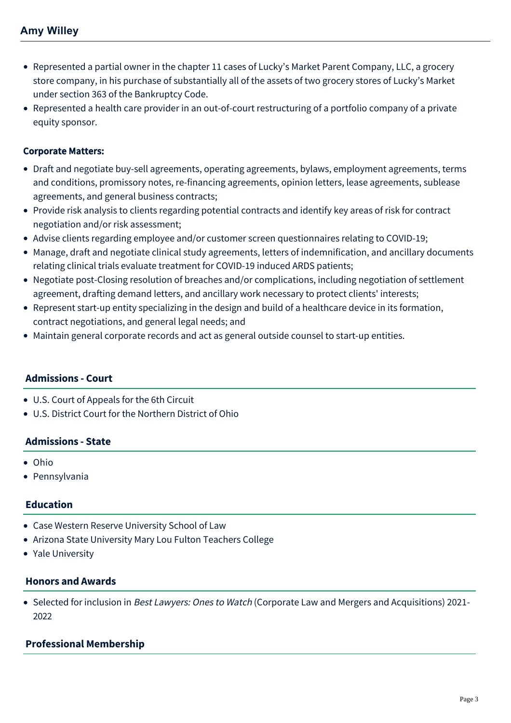- Represented a partial owner in the chapter 11 cases of Lucky's Market Parent Company, LLC, a grocery store company, in his purchase of substantially all of the assets of two grocery stores of Lucky's Market under section 363 of the Bankruptcy Code.
- Represented a health care provider in an out-of-court restructuring of a portfolio company of a private equity sponsor.

### Corporate Matters:

- Draft and negotiate buy-sell agreements, operating agreements, bylaws, employment agreements, terms and conditions, promissory notes, re-financing agreements, opinion letters, lease agreements, sublease agreements, and general business contracts;
- Provide risk analysis to clients regarding potential contracts and identify key areas of risk for contract negotiation and/or risk assessment;
- Advise clients regarding employee and/or customer screen questionnaires relating to COVID-19;
- Manage, draft and negotiate clinical study agreements, letters of indemnification, and ancillary documents relating clinical trials evaluate treatment for COVID-19 induced ARDS patients;
- Negotiate post-Closing resolution of breaches and/or complications, including negotiation of settlement agreement, drafting demand letters, and ancillary work necessary to protect clients' interests;
- Represent start-up entity specializing in the design and build of a healthcare device in its formation, contract negotiations, and general legal needs; and
- Maintain general corporate records and act as general outside counsel to start-up entities.

# **Admissions - Court**

- U.S. Court of Appeals for the 6th Circuit
- U.S. District Court for the Northern District of Ohio

### **Admissions - State**

- Ohio
- Pennsylvania

# **Education**

- Case Western Reserve University School of Law
- Arizona State University Mary Lou Fulton Teachers College
- Yale University

### **Honors and Awards**

• Selected for inclusion in *Best Lawyers: Ones to Watch* (Corporate Law and Mergers and Acquisitions) 2021-2022

# **Professional Membership**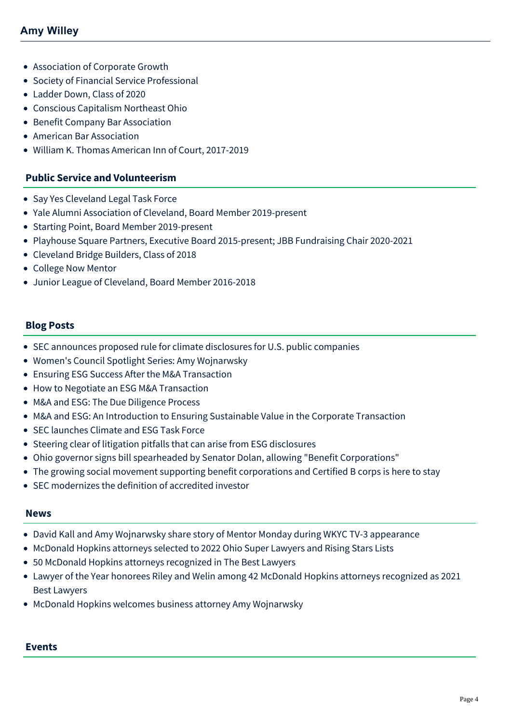- Association of Corporate Growth
- Society of Financial Service Professional
- Ladder Down, Class of 2020
- Conscious Capitalism Northeast Ohio
- Benefit Company Bar Association
- American Bar Association
- William K. Thomas American Inn of Court, 2017-2019

#### **Public Service and Volunteerism**

- Say Yes Cleveland Legal Task Force
- Yale Alumni Association of Cleveland, Board Member 2019-present
- Starting Point, Board Member 2019-present
- Playhouse Square Partners, Executive Board 2015-present; JBB Fundraising Chair 2020-2021
- Cleveland Bridge Builders, Class of 2018
- College Now Mentor
- Junior League of Cleveland, Board Member 2016-2018

#### **Blog Posts**

- [SEC announces proposed rule for climate disclosures for U.S. public companies](https://mcdonaldhopkins.com/Insights/March-2022/SEC-climate-disclosures-public-companies)
- [Women's Council Spotlight Series: Amy Wojnarwsky](https://mcdonaldhopkins.com/Insights/March-2022/Get-to-know-Amy-Wojnarwsky)
- [Ensuring ESG Success After the M&A Transaction](https://mcdonaldhopkins.com/Insights/January-2022/Ensuring-ESG-Success-After-the-M-A-Transaction)
- [How to Negotiate an ESG M&A Transaction](https://mcdonaldhopkins.com/Insights/November-2021/How-to-Negotiate-an-ESG-MA-Transaction)
- [M&A and ESG: The Due Diligence Process](https://mcdonaldhopkins.com/Insights/October-2021/MA-and-ESG-The-Due-Diligence-Process)
- [M&A and ESG: An Introduction to Ensuring Sustainable Value in the Corporate Transaction](https://mcdonaldhopkins.com/Insights/August-2021/M-A-and-ESG-An-Introduction-to-Ensuring-Sustainabl)
- [SEC launches Climate and ESG Task Force](https://mcdonaldhopkins.com/Insights/March-2021/SEC-launches-climate-and-ESG-task-force)
- [Steering clear of litigation pitfalls that can arise from ESG disclosures](https://mcdonaldhopkins.com/Insights/December-2020/Steering-clear-of-litigation-pitfalls-that-can-ari)
- [Ohio governor signs bill spearheaded by Senator Dolan, allowing "Benefit Corporations"](https://mcdonaldhopkins.com/Insights/December-2020/Ohio-governor-signs-bill-into-law-allowing-benefit)
- [The growing social movement supporting benefit corporations and Certified B corps is here to stay](https://mcdonaldhopkins.com/Insights/October-2020/The-Growing-Social-Movement-Supporting-Benefit-Cor)
- [SEC modernizes the definition of accredited investor](https://mcdonaldhopkins.com/Insights/September-2020/SEC-modernizes-the-definition-of-accredited-invest)

#### **News**

- [David Kall and Amy Wojnarwsky share story of Mentor Monday during WKYC TV-3 appearance](https://mcdonaldhopkins.com/Insights/March-2022/David-Kall-and-Amy-Wojnarwsky-share-story-of-Mento)
- [McDonald Hopkins attorneys selected to 2022 Ohio Super Lawyers and Rising Stars Lists](https://mcdonaldhopkins.com/Insights/December-2021/McDonald-Hopkins-Ohio-Super-Lawyers)
- [50 McDonald Hopkins attorneys recognized in The Best Lawyers](https://mcdonaldhopkins.com/Insights/August-2021/50-McDonald-Hopkins-attorneys-recognized-in-The-Be)
- [Lawyer of the Year honorees Riley and Welin among 42 McDonald Hopkins attorneys recognized as 2021](https://mcdonaldhopkins.com/Insights/August-2020/Lawyer-of-the-Year-honorees-Riley-and-Welin-among) Best Lawyers
- [McDonald Hopkins welcomes business attorney Amy Wojnarwsky](https://mcdonaldhopkins.com/Insights/January-2018/McDonald-Hopkins-welcomes-business-attorney-Amy-Wo)

# **Events**